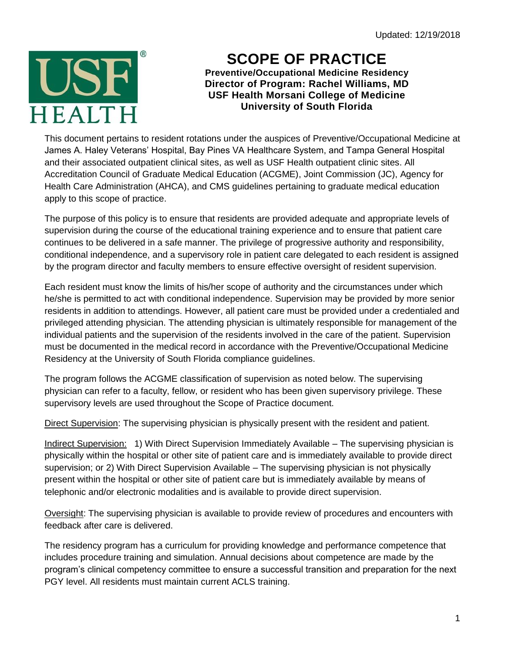Updated: 12/19/2018



## **SCOPE OF PRACTICE**

**Preventive/Occupational Medicine Residency Director of Program: Rachel Williams, MD USF Health Morsani College of Medicine University of South Florida**

This document pertains to resident rotations under the auspices of Preventive/Occupational Medicine at James A. Haley Veterans' Hospital, Bay Pines VA Healthcare System, and Tampa General Hospital and their associated outpatient clinical sites, as well as USF Health outpatient clinic sites. All Accreditation Council of Graduate Medical Education (ACGME), Joint Commission (JC), Agency for Health Care Administration (AHCA), and CMS guidelines pertaining to graduate medical education apply to this scope of practice.

The purpose of this policy is to ensure that residents are provided adequate and appropriate levels of supervision during the course of the educational training experience and to ensure that patient care continues to be delivered in a safe manner. The privilege of progressive authority and responsibility, conditional independence, and a supervisory role in patient care delegated to each resident is assigned by the program director and faculty members to ensure effective oversight of resident supervision.

Each resident must know the limits of his/her scope of authority and the circumstances under which he/she is permitted to act with conditional independence. Supervision may be provided by more senior residents in addition to attendings. However, all patient care must be provided under a credentialed and privileged attending physician. The attending physician is ultimately responsible for management of the individual patients and the supervision of the residents involved in the care of the patient. Supervision must be documented in the medical record in accordance with the Preventive/Occupational Medicine Residency at the University of South Florida compliance guidelines.

The program follows the ACGME classification of supervision as noted below. The supervising physician can refer to a faculty, fellow, or resident who has been given supervisory privilege. These supervisory levels are used throughout the Scope of Practice document.

Direct Supervision: The supervising physician is physically present with the resident and patient.

Indirect Supervision: 1) With Direct Supervision Immediately Available – The supervising physician is physically within the hospital or other site of patient care and is immediately available to provide direct supervision; or 2) With Direct Supervision Available – The supervising physician is not physically present within the hospital or other site of patient care but is immediately available by means of telephonic and/or electronic modalities and is available to provide direct supervision.

Oversight: The supervising physician is available to provide review of procedures and encounters with feedback after care is delivered.

The residency program has a curriculum for providing knowledge and performance competence that includes procedure training and simulation. Annual decisions about competence are made by the program's clinical competency committee to ensure a successful transition and preparation for the next PGY level. All residents must maintain current ACLS training.